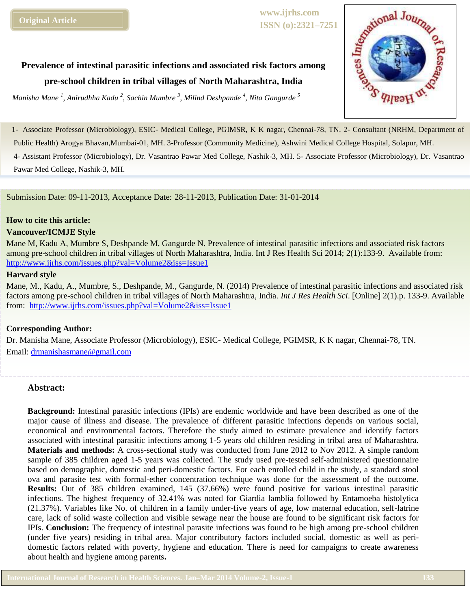**www.ijrhs.com ISSN (o):2321–7251**

**Prevalence of intestinal parasitic infections and associated risk factors among pre-school children in tribal villages of North Maharashtra, India** 

*Manisha Mane <sup>1</sup> , Anirudhha Kadu <sup>2</sup> , Sachin Mumbre <sup>3</sup> , Milind Deshpande <sup>4</sup> , Nita Gangurde <sup>5</sup>*



1- Associate Professor (Microbiology), ESIC- Medical College, PGIMSR, K K nagar, Chennai-78, TN. 2- Consultant (NRHM, Department of Public Health) Arogya Bhavan,Mumbai-01, MH. 3-Professor (Community Medicine), Ashwini Medical College Hospital, Solapur*,* MH.

4- Assistant Professor (Microbiology), Dr. Vasantrao Pawar Med College, Nashik-3, MH. 5- Associate Professor (Microbiology), Dr. Vasantrao Pawar Med College, Nashik-3, MH.

Submission Date: 09-11-2013, Acceptance Date: 28-11-2013, Publication Date: 31-01-2014

### **How to cite this article:**

### **Vancouver/ICMJE Style**

Mane M, Kadu A, Mumbre S, Deshpande M, Gangurde N. Prevalence of intestinal parasitic infections and associated risk factors among pre-school children in tribal villages of North Maharashtra, India. Int J Res Health Sci 2014; 2(1):133-9. Available from: <http://www.ijrhs.com/issues.php?val=Volume2&iss=Issue1>

# **Harvard style**

Mane, M., Kadu, A., Mumbre, S., Deshpande, M., Gangurde, N. (2014) Prevalence of intestinal parasitic infections and associated risk factors among pre-school children in tribal villages of North Maharashtra, India. *Int J Res Health Sci*. [Online] 2(1).p. 133-9. Available from: <http://www.ijrhs.com/issues.php?val=Volume2&iss=Issue1>

# **Corresponding Author:**

Dr. Manisha Mane, Associate Professor (Microbiology), ESIC- Medical College, PGIMSR, K K nagar, Chennai-78, TN. Email: [drmanishasmane@gmail.com](mailto:drmanishasmane@gmail.com)

# **Abstract:**

**Background:** Intestinal parasitic infections (IPIs) are endemic worldwide and have been described as one of the major cause of illness and disease. The prevalence of different parasitic infections depends on various social, economical and environmental factors. Therefore the study aimed to estimate prevalence and identify factors associated with intestinal parasitic infections among 1-5 years old children residing in tribal area of Maharashtra. **Materials and methods:** A cross-sectional study was conducted from June 2012 to Nov 2012. A simple random sample of 385 children aged 1-5 years was collected. The study used pre-tested self-administered questionnaire based on demographic, domestic and peri-domestic factors. For each enrolled child in the study, a standard stool ova and parasite test with formal-ether concentration technique was done for the assessment of the outcome. **Results:** Out of 385 children examined, 145 (37.66%) were found positive for various intestinal parasitic infections. The highest frequency of 32.41% was noted for Giardia lamblia followed by Entamoeba histolytica (21.37%). Variables like No. of children in a family under-five years of age, low maternal education, self-latrine care, lack of solid waste collection and visible sewage near the house are found to be significant risk factors for IPIs. **Conclusion:** The frequency of intestinal parasite infections was found to be high among pre-school children (under five years) residing in tribal area. Major contributory factors included social, domestic as well as peridomestic factors related with poverty, hygiene and education. There is need for campaigns to create awareness about health and hygiene among parents**.**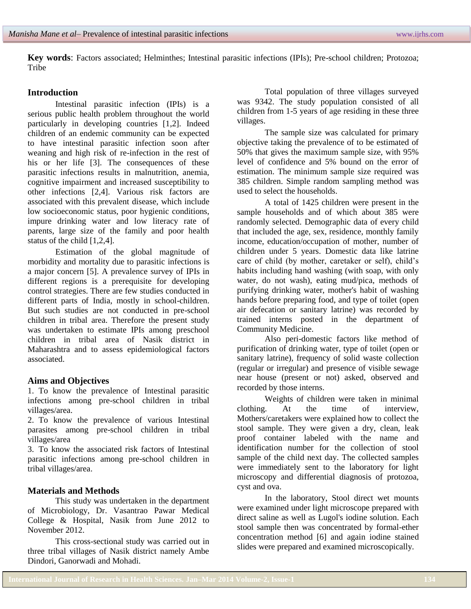**Key words**: Factors associated; Helminthes; Intestinal parasitic infections (IPIs); Pre-school children; Protozoa; **Tribe** 

### **Introduction**

Intestinal parasitic infection (IPIs) is a serious public health problem throughout the world particularly in developing countries [1,2]. Indeed children of an endemic community can be expected to have intestinal parasitic infection soon after weaning and high risk of re-infection in the rest of his or her life [3]. The consequences of these parasitic infections results in malnutrition, anemia, cognitive impairment and increased susceptibility to other infections [2,4]. Various risk factors are associated with this prevalent disease, which include low socioeconomic status, poor hygienic conditions, impure drinking water and low literacy rate of parents, large size of the family and poor health status of the child [1,2,4].

Estimation of the global magnitude of morbidity and mortality due to parasitic infections is a major concern [5]. A prevalence survey of IPIs in different regions is a prerequisite for developing control strategies. There are few studies conducted in different parts of India, mostly in school-children. But such studies are not conducted in pre-school children in tribal area. Therefore the present study was undertaken to estimate IPIs among preschool children in tribal area of Nasik district in Maharashtra and to assess epidemiological factors associated.

### **Aims and Objectives**

1. To know the prevalence of Intestinal parasitic infections among pre-school children in tribal villages/area.

2. To know the prevalence of various Intestinal parasites among pre-school children in tribal villages/area

3. To know the associated risk factors of Intestinal parasitic infections among pre-school children in tribal villages/area.

### **Materials and Methods**

This study was undertaken in the department of Microbiology, Dr. Vasantrao Pawar Medical College & Hospital, Nasik from June 2012 to November 2012.

This cross-sectional study was carried out in three tribal villages of Nasik district namely Ambe Dindori, Ganorwadi and Mohadi.

Total population of three villages surveyed was 9342. The study population consisted of all children from 1-5 years of age residing in these three villages.

The sample size was calculated for primary objective taking the prevalence of to be estimated of 50% that gives the maximum sample size, with 95% level of confidence and 5% bound on the error of estimation. The minimum sample size required was 385 children. Simple random sampling method was used to select the households.

A total of 1425 children were present in the sample households and of which about 385 were randomly selected. Demographic data of every child that included the age, sex, residence, monthly family income, education/occupation of mother, number of children under 5 years. Domestic data like latrine care of child (by mother, caretaker or self), child's habits including hand washing (with soap, with only water, do not wash), eating mud/pica, methods of purifying drinking water, mother's habit of washing hands before preparing food, and type of toilet (open air defecation or sanitary latrine) was recorded by trained interns posted in the department of Community Medicine.

Also peri-domestic factors like method of purification of drinking water, type of toilet (open or sanitary latrine), frequency of solid waste collection (regular or irregular) and presence of visible sewage near house (present or not) asked, observed and recorded by those interns.

Weights of children were taken in minimal clothing. At the time of interview, Mothers/caretakers were explained how to collect the stool sample. They were given a dry, clean, leak proof container labeled with the name and identification number for the collection of stool sample of the child next day. The collected samples were immediately sent to the laboratory for light microscopy and differential diagnosis of protozoa, cyst and ova.

In the laboratory, Stool direct wet mounts were examined under light microscope prepared with direct saline as well as Lugol's iodine solution. Each stool sample then was concentrated by formal-ether concentration method [6] and again iodine stained slides were prepared and examined microscopically.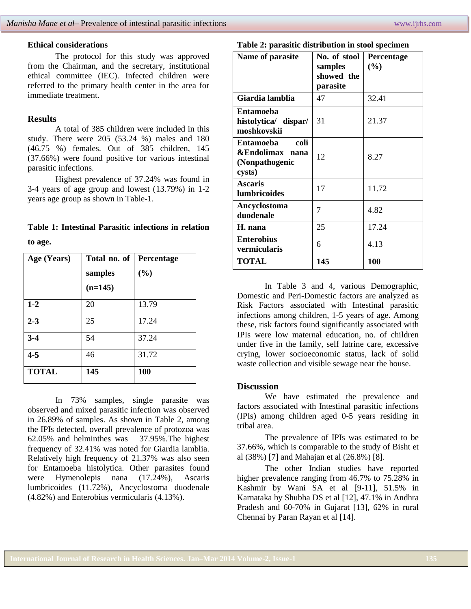### **Ethical considerations**

The protocol for this study was approved from the Chairman, and the secretary, institutional ethical committee (IEC). Infected children were referred to the primary health center in the area for immediate treatment.

# **Results**

A total of 385 children were included in this study. There were 205 (53.24 %) males and 180 (46.75 %) females. Out of 385 children, 145 (37.66%) were found positive for various intestinal parasitic infections.

Highest prevalence of 37.24% was found in 3-4 years of age group and lowest (13.79%) in 1-2 years age group as shown in Table-1.

# **Table 1: Intestinal Parasitic infections in relation to age.**

| Age (Years)  | Total no. of | Percentage |  |  |
|--------------|--------------|------------|--|--|
|              | samples      | (%)        |  |  |
|              | $(n=145)$    |            |  |  |
| $1 - 2$      | 20           | 13.79      |  |  |
| $2 - 3$      | 25           | 17.24      |  |  |
| $3-4$        | 54           | 37.24      |  |  |
| $4 - 5$      | 46           | 31.72      |  |  |
| <b>TOTAL</b> | 145          | 100        |  |  |

In 73% samples, single parasite was observed and mixed parasitic infection was observed in 26.89% of samples. As shown in Table 2, among the IPIs detected, overall prevalence of protozoa was 62.05% and helminthes was 37.95%.The highest frequency of 32.41% was noted for Giardia lamblia. Relatively high frequency of 21.37% was also seen for Entamoeba histolytica. Other parasites found were Hymenolepis nana (17.24%), Ascaris lumbricoides (11.72%), Ancyclostoma duodenale (4.82%) and Enterobius vermicularis (4.13%).

#### **Table 2: parasitic distribution in stool specimen**

| Name of parasite                                                 | No. of stool<br>samples<br>showed the<br>parasite | Percentage<br>(%) |
|------------------------------------------------------------------|---------------------------------------------------|-------------------|
| Giardia lamblia                                                  | 47                                                | 32.41             |
| Entamoeba<br>histolytica/ dispar/<br>moshkovskii                 | 31                                                | 21.37             |
| coli<br>Entamoeba<br>&Endolimax nana<br>(Nonpathogenic<br>cysts) | 12                                                | 8.27              |
| <b>Ascaris</b><br><b>lumbricoides</b>                            | 17                                                | 11.72             |
| Ancyclostoma<br>duodenale                                        | 7                                                 | 4.82              |
| H. nana                                                          | 25                                                | 17.24             |
| <b>Enterobius</b><br>vermicularis                                | 6                                                 | 4.13              |
| <b>TOTAL</b>                                                     | 145                                               | 100               |

In Table 3 and 4, various Demographic, Domestic and Peri-Domestic factors are analyzed as Risk Factors associated with Intestinal parasitic infections among children, 1-5 years of age. Among these, risk factors found significantly associated with IPIs were low maternal education, no. of children under five in the family, self latrine care, excessive crying, lower socioeconomic status, lack of solid waste collection and visible sewage near the house.

### **Discussion**

We have estimated the prevalence and factors associated with Intestinal parasitic infections (IPIs) among children aged 0-5 years residing in tribal area.

The prevalence of IPIs was estimated to be 37.66%, which is comparable to the study of Bisht et al (38%) [7] and Mahajan et al (26.8%) [8].

The other Indian studies have reported higher prevalence ranging from 46.7% to 75.28% in Kashmir by Wani SA et al [9-11], 51.5% in Karnataka by Shubha DS et al [12], 47.1% in Andhra Pradesh and 60-70% in Gujarat [13], 62% in rural Chennai by Paran Rayan et al [14].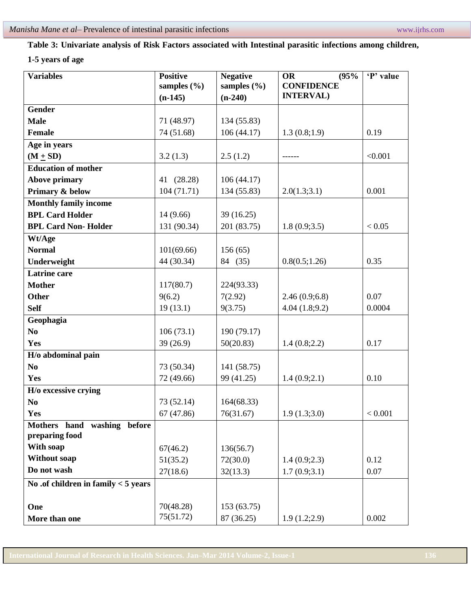# **Table 3: Univariate analysis of Risk Factors associated with Intestinal parasitic infections among children,**

# **1-5 years of age**

| <b>Variables</b>                      | <b>Positive</b> | <b>Negative</b> | (95%<br><b>OR</b> | 'P' value |
|---------------------------------------|-----------------|-----------------|-------------------|-----------|
|                                       | samples $(\% )$ | samples $(\% )$ | <b>CONFIDENCE</b> |           |
|                                       | $(n-145)$       | $(n-240)$       | <b>INTERVAL)</b>  |           |
| <b>Gender</b>                         |                 |                 |                   |           |
| <b>Male</b>                           | 71 (48.97)      | 134 (55.83)     |                   |           |
| <b>Female</b>                         | 74 (51.68)      | 106(44.17)      | 1.3(0.8;1.9)      | 0.19      |
| Age in years                          |                 |                 |                   |           |
| $(M + SD)$                            | 3.2(1.3)        | 2.5(1.2)        |                   | < 0.001   |
| <b>Education of mother</b>            |                 |                 |                   |           |
| <b>Above primary</b>                  | 41 (28.28)      | 106(44.17)      |                   |           |
| Primary & below                       | 104(71.71)      | 134 (55.83)     | 2.0(1.3;3.1)      | 0.001     |
| <b>Monthly family income</b>          |                 |                 |                   |           |
| <b>BPL Card Holder</b>                | 14(9.66)        | 39 (16.25)      |                   |           |
| <b>BPL Card Non-Holder</b>            | 131 (90.34)     | 201 (83.75)     | 1.8(0.9; 3.5)     | < 0.05    |
| Wt/Age                                |                 |                 |                   |           |
| <b>Normal</b>                         | 101(69.66)      | 156(65)         |                   |           |
| Underweight                           | 44 (30.34)      | 84 (35)         | 0.8(0.5;1.26)     | 0.35      |
| <b>Latrine</b> care                   |                 |                 |                   |           |
| <b>Mother</b>                         | 117(80.7)       | 224(93.33)      |                   |           |
| <b>Other</b>                          | 9(6.2)          | 7(2.92)         | 2.46(0.9;6.8)     | 0.07      |
| <b>Self</b>                           | 19(13.1)        | 9(3.75)         | 4.04(1.8;9.2)     | 0.0004    |
| Geophagia                             |                 |                 |                   |           |
| N <sub>0</sub>                        | 106(73.1)       | 190 (79.17)     |                   |           |
| Yes                                   | 39(26.9)        | 50(20.83)       | 1.4(0.8;2.2)      | 0.17      |
| H/o abdominal pain                    |                 |                 |                   |           |
| N <sub>0</sub>                        | 73 (50.34)      | 141 (58.75)     |                   |           |
| <b>Yes</b>                            | 72 (49.66)      | 99 (41.25)      | 1.4(0.9;2.1)      | 0.10      |
| H/o excessive crying                  |                 |                 |                   |           |
| N <sub>0</sub>                        | 73 (52.14)      | 164(68.33)      |                   |           |
| Yes                                   | 67 (47.86)      | 76(31.67)       | 1.9(1.3;3.0)      | < 0.001   |
| Mothers hand washing before           |                 |                 |                   |           |
| preparing food                        |                 |                 |                   |           |
| With soap                             | 67(46.2)        | 136(56.7)       |                   |           |
| <b>Without soap</b>                   | 51(35.2)        | 72(30.0)        | 1.4(0.9;2.3)      | 0.12      |
| Do not wash                           | 27(18.6)        | 32(13.3)        | 1.7(0.9;3.1)      | 0.07      |
| No .of children in family $<$ 5 years |                 |                 |                   |           |
|                                       |                 |                 |                   |           |
| One                                   | 70(48.28)       | 153 (63.75)     |                   |           |
| More than one                         | 75(51.72)       | 87 (36.25)      | 1.9(1.2;2.9)      | 0.002     |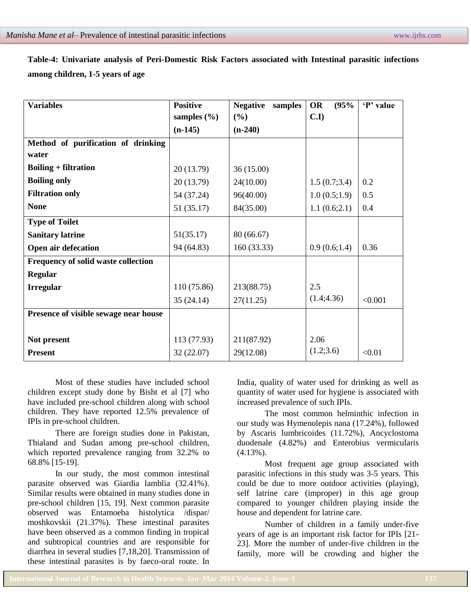| Table-4: Univariate analysis of Peri-Domestic Risk Factors associated with Intestinal parasitic infections |  |  |  |  |  |
|------------------------------------------------------------------------------------------------------------|--|--|--|--|--|
| among children, 1-5 years of age                                                                           |  |  |  |  |  |

| <b>Variables</b>                      | <b>Positive</b> | <b>Negative</b><br>samples | <b>OR</b><br>(95% | 'P' value |
|---------------------------------------|-----------------|----------------------------|-------------------|-----------|
|                                       | samples $(\% )$ | (%)                        | C.I               |           |
|                                       | $(n-145)$       | $(n-240)$                  |                   |           |
| Method of purification of drinking    |                 |                            |                   |           |
| water                                 |                 |                            |                   |           |
| <b>Boiling + filtration</b>           | 20 (13.79)      | 36 (15.00)                 |                   |           |
| <b>Boiling only</b>                   | 20 (13.79)      | 24(10.00)                  | 1.5(0.7;3.4)      | 0.2       |
| <b>Filtration only</b>                | 54 (37.24)      | 96(40.00)                  | 1.0(0.5;1.9)      | 0.5       |
| <b>None</b>                           | 51 (35.17)      | 84(35.00)                  | 1.1(0.6;2.1)      | 0.4       |
| <b>Type of Toilet</b>                 |                 |                            |                   |           |
| <b>Sanitary latrine</b>               | 51(35.17)       | 80 (66.67)                 |                   |           |
| <b>Open air defecation</b>            | 94 (64.83)      | 160(33.33)                 | 0.9(0.6;1.4)      | 0.36      |
| Frequency of solid waste collection   |                 |                            |                   |           |
| <b>Regular</b>                        |                 |                            |                   |           |
| <b>Irregular</b>                      | 110(75.86)      | 213(88.75)                 | 2.5               |           |
|                                       | 35(24.14)       | 27(11.25)                  | (1.4; 4.36)       | < 0.001   |
| Presence of visible sewage near house |                 |                            |                   |           |
|                                       |                 |                            |                   |           |
| Not present                           | 113 (77.93)     | 211(87.92)                 | 2.06              |           |
| <b>Present</b>                        | 32(22.07)       | 29(12.08)                  | (1.2; 3.6)        | < 0.01    |

Most of these studies have included school children except study done by Bisht et al [7] who have included pre-school children along with school children. They have reported 12.5% prevalence of IPIs in pre-school children.

There are foreign studies done in Pakistan, Thialand and Sudan among pre-school children, which reported prevalence ranging from 32.2% to 68.8% [15-19].

In our study, the most common intestinal parasite observed was Giardia lamblia (32.41%). Similar results were obtained in many studies done in pre-school children [15, 19]. Next common parasite observed was Entamoeba histolytica /dispar/ moshkovskii (21.37%). These intestinal parasites have been observed as a common finding in tropical and subtropical countries and are responsible for diarrhea in several studies [7,18,20]. Transmission of these intestinal parasites is by faeco-oral route. In

India, quality of water used for drinking as well as quantity of water used for hygiene is associated with increased prevalence of such IPIs.

The most common helminthic infection in our study was Hymenolepis nana (17.24%), followed by Ascaris lumbricoides (11.72%), Ancyclostoma duodenale (4.82%) and Enterobius vermicularis  $(4.13\%)$ .

Most frequent age group associated with parasitic infections in this study was 3-5 years. This could be due to more outdoor activities (playing), self latrine care (improper) in this age group compared to younger children playing inside the house and dependent for latrine care.

Number of children in a family under-five years of age is an important risk factor for IPIs [21- 23]. More the number of under-five children in the family, more will be crowding and higher the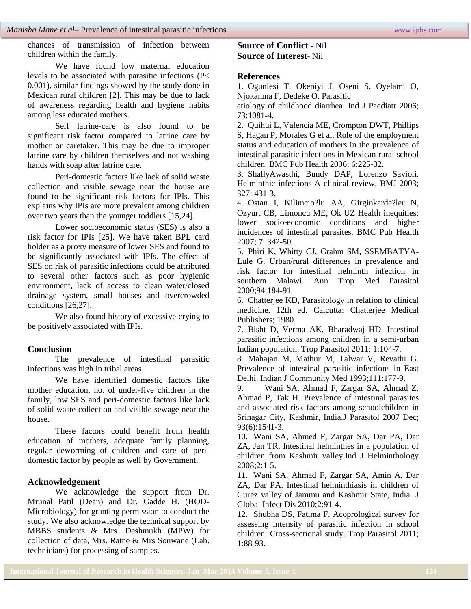chances of transmission of infection between children within the family.

We have found low maternal education levels to be associated with parasitic infections (P< 0.001), similar findings showed by the study done in Mexican rural children [2]. This may be due to lack of awareness regarding health and hygiene habits among less educated mothers.

Self latrine-care is also found to be significant risk factor compared to latrine care by mother or caretaker. This may be due to improper latrine care by children themselves and not washing hands with soap after latrine care.

Peri-domestic factors like lack of solid waste collection and visible sewage near the house are found to be significant risk factors for IPIs. This explains why IPIs are more prevalent among children over two years than the younger toddlers [15,24].

Lower socioeconomic status (SES) is also a risk factor for IPIs [25]. We have taken BPL card holder as a proxy measure of lower SES and found to be significantly associated with IPIs. The effect of SES on risk of parasitic infections could be attributed to several other factors such as poor hygienic environment, lack of access to clean water/closed drainage system, small houses and overcrowded conditions [26,27].

We also found history of excessive crying to be positively associated with IPIs.

# **Conclusion**

The prevalence of intestinal parasitic infections was high in tribal areas.

We have identified domestic factors like mother education, no. of under-five children in the family, low SES and peri-domestic factors like lack of solid waste collection and visible sewage near the house.

These factors could benefit from health education of mothers, adequate family planning, regular deworming of children and care of peridomestic factor by people as well by Government.

### **Acknowledgement**

We acknowledge the support from Dr. Mrunal Patil (Dean) and Dr. Gadde H. (HOD-Microbiology) for granting permission to conduct the study. We also acknowledge the technical support by MBBS students & Mrs. Deshmukh (MPW) for collection of data, Mrs. Ratne & Mrs Sonwane (Lab. technicians) for processing of samples.

# **Source of Conflict -** Nil **Source of Interest-** Nil

# **References**

1. Ogunlesi T, Okeniyi J, Oseni S, Oyelami O, Njokanma F, Dedeke O. Parasitic

etiology of childhood diarrhea. Ind J Paediatr 2006; 73:1081-4.

2. Quihui L, Valencia ME, Crompton DWT, Phillips S, Hagan P, Morales G et al. Role of the employment status and education of mothers in the prevalence of intestinal parasitic infections in Mexican rural school children. BMC Pub Health 2006; 6:225-32.

3. ShallyAwasthi, Bundy DAP, Lorenzo Savioli. Helminthic infections-A clinical review. BMJ 2003; 327: 431-3.

4. Östan I, Kilimcio?lu AA, Girginkarde?ler N, Özyurt CB, Limoncu ME, Ok UZ Health inequities: lower socio-economic conditions and higher incidences of intestinal parasites. BMC Pub Health 2007; 7: 342-50.

5. Phiri K, Whitty CJ, Grahm SM, SSEMBATYA-Lule G. Urban/rural differences in prevalence and risk factor for intestinal helminth infection in southern Malawi. Ann Trop Med Parasitol 2000;94:184-91

6. Chatterjee KD, Parasitology in relation to clinical medicine. 12th ed. Calcutta: Chatterjee Medical Publishers; 1980.

7. Bisht D, Verma AK, Bharadwaj HD. Intestinal parasitic infections among children in a semi-urban Indian population. Trop Parasitol 2011; 1:104-7.

8. Mahajan M, Mathur M, Talwar V, Revathi G. Prevalence of intestinal parasitic infections in East Delhi. Indian J Community Med 1993;111:177-9.

9. Wani SA, Ahmad F, Zargar SA, Ahmad Z, Ahmad P, Tak H. Prevalence of intestinal parasites and associated risk factors among schoolchildren in Srinagar City, Kashmir, India.J Parasitol 2007 Dec; 93(6):1541-3.

10. Wani SA, Ahmed F, Zargar SA, Dar PA, Dar ZA, Jan TR. Intestinal helminthes in a population of children from Kashmir valley.Ind J Helminthology  $2008:2:1-5.$ 

11. Wani SA, Ahmad F, Zargar SA, Amin A, Dar ZA, Dar PA. Intestinal helminthiasis in children of Gurez valley of Jammu and Kashmir State, India. J Global Infect Dis 2010;2:91-4.

12. Shubha DS, Fatima F. Acoprological survey for assessing intensity of parasitic infection in school children: Cross-sectional study. Trop Parasitol 2011; 1:88-93.